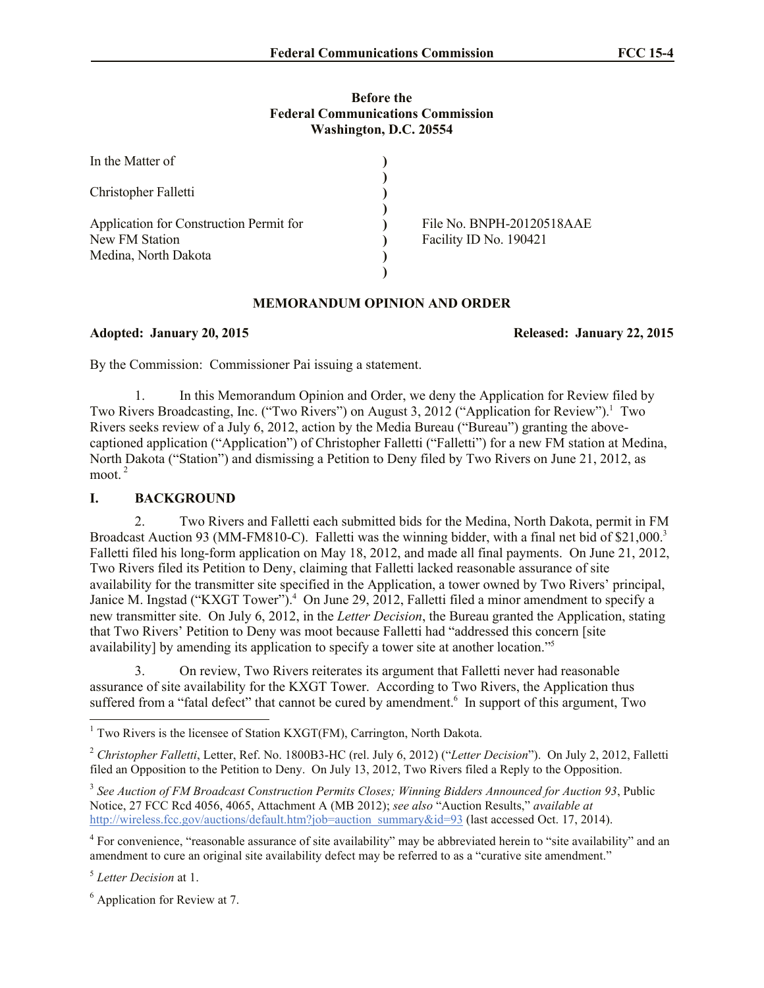#### **Before the Federal Communications Commission Washington, D.C. 20554**

| In the Matter of                        |                           |
|-----------------------------------------|---------------------------|
| Christopher Falletti                    |                           |
|                                         |                           |
| Application for Construction Permit for | File No. BNPH-20120518AAE |
| New FM Station                          | Facility ID No. 190421    |
| Medina, North Dakota                    |                           |
|                                         |                           |

# **MEMORANDUM OPINION AND ORDER**

## **Adopted: January 20, 2015 Released: January 22, 2015**

By the Commission: Commissioner Pai issuing a statement.

1. In this Memorandum Opinion and Order, we deny the Application for Review filed by Two Rivers Broadcasting, Inc. ("Two Rivers") on August 3, 2012 ("Application for Review").<sup>1</sup> Two Rivers seeks review of a July 6, 2012, action by the Media Bureau ("Bureau") granting the abovecaptioned application ("Application") of Christopher Falletti ("Falletti") for a new FM station at Medina, North Dakota ("Station") and dismissing a Petition to Deny filed by Two Rivers on June 21, 2012, as moot. <sup>2</sup>

# **I. BACKGROUND**

2. Two Rivers and Falletti each submitted bids for the Medina, North Dakota, permit in FM Broadcast Auction 93 (MM-FM810-C). Falletti was the winning bidder, with a final net bid of \$21,000.<sup>3</sup> Falletti filed his long-form application on May 18, 2012, and made all final payments. On June 21, 2012, Two Rivers filed its Petition to Deny, claiming that Falletti lacked reasonable assurance of site availability for the transmitter site specified in the Application, a tower owned by Two Rivers' principal, Janice M. Ingstad ("KXGT Tower"). 4 On June 29, 2012, Falletti filed a minor amendment to specify a new transmitter site. On July 6, 2012, in the *Letter Decision*, the Bureau granted the Application, stating that Two Rivers' Petition to Deny was moot because Falletti had "addressed this concern [site availability] by amending its application to specify a tower site at another location."<sup>5</sup>

3. On review, Two Rivers reiterates its argument that Falletti never had reasonable assurance of site availability for the KXGT Tower. According to Two Rivers, the Application thus suffered from a "fatal defect" that cannot be cured by amendment.<sup>6</sup> In support of this argument, Two

5 *Letter Decision* at 1.

 $\overline{\phantom{a}}$ 

<sup>&</sup>lt;sup>1</sup> Two Rivers is the licensee of Station KXGT(FM), Carrington, North Dakota.

<sup>2</sup> *Christopher Falletti*, Letter, Ref. No. 1800B3-HC (rel. July 6, 2012) ("*Letter Decision*"). On July 2, 2012, Falletti filed an Opposition to the Petition to Deny. On July 13, 2012, Two Rivers filed a Reply to the Opposition.

<sup>3</sup> *See Auction of FM Broadcast Construction Permits Closes; Winning Bidders Announced for Auction 93*, Public Notice, 27 FCC Rcd 4056, 4065, Attachment A (MB 2012); *see also* "Auction Results," *available at* http://wireless.fcc.gov/auctions/default.htm?job=auction\_summary&id=93 (last accessed Oct. 17, 2014).

<sup>&</sup>lt;sup>4</sup> For convenience, "reasonable assurance of site availability" may be abbreviated herein to "site availability" and an amendment to cure an original site availability defect may be referred to as a "curative site amendment."

 $<sup>6</sup>$  Application for Review at 7.</sup>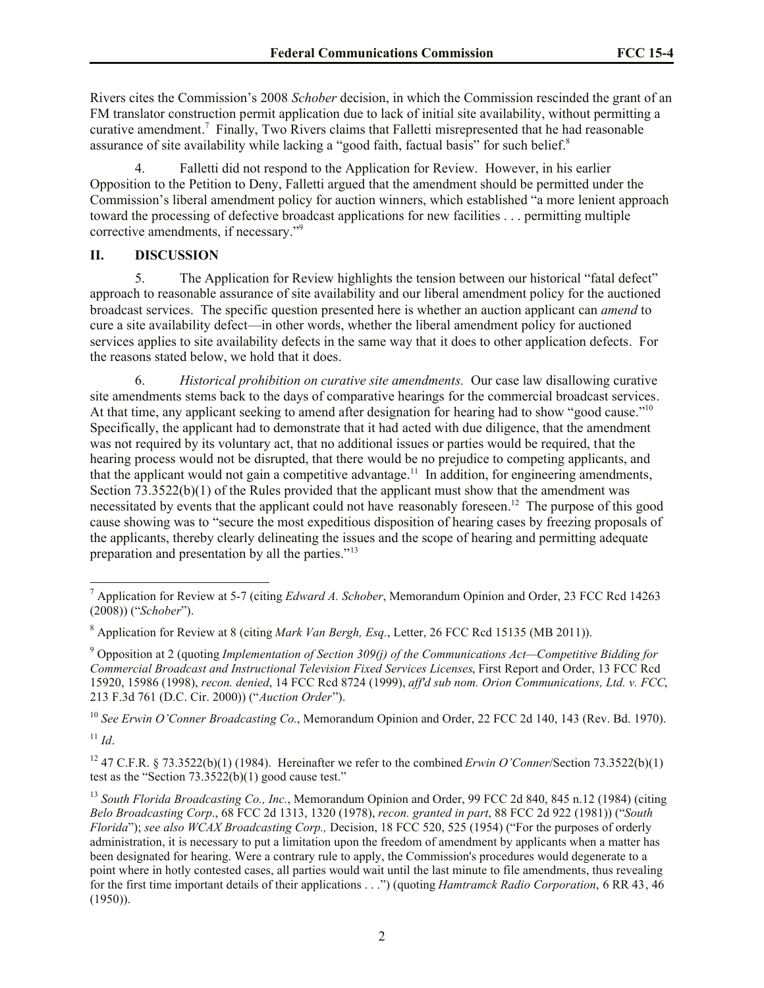Rivers cites the Commission's 2008 *Schober* decision, in which the Commission rescinded the grant of an FM translator construction permit application due to lack of initial site availability, without permitting a curative amendment.<sup>7</sup> Finally, Two Rivers claims that Falletti misrepresented that he had reasonable assurance of site availability while lacking a "good faith, factual basis" for such belief.<sup>8</sup>

4. Falletti did not respond to the Application for Review. However, in his earlier Opposition to the Petition to Deny, Falletti argued that the amendment should be permitted under the Commission's liberal amendment policy for auction winners, which established "a more lenient approach toward the processing of defective broadcast applications for new facilities . . . permitting multiple corrective amendments, if necessary."<sup>9</sup>

# **II. DISCUSSION**

5. The Application for Review highlights the tension between our historical "fatal defect" approach to reasonable assurance of site availability and our liberal amendment policy for the auctioned broadcast services. The specific question presented here is whether an auction applicant can *amend* to cure a site availability defect—in other words, whether the liberal amendment policy for auctioned services applies to site availability defects in the same way that it does to other application defects. For the reasons stated below, we hold that it does.

6. *Historical prohibition on curative site amendments.* Our case law disallowing curative site amendments stems back to the days of comparative hearings for the commercial broadcast services. At that time, any applicant seeking to amend after designation for hearing had to show "good cause."<sup>10</sup> Specifically, the applicant had to demonstrate that it had acted with due diligence, that the amendment was not required by its voluntary act, that no additional issues or parties would be required, that the hearing process would not be disrupted, that there would be no prejudice to competing applicants, and that the applicant would not gain a competitive advantage.<sup>11</sup> In addition, for engineering amendments, Section  $\overline{73.3522(b)(1)}$  of the Rules provided that the applicant must show that the amendment was necessitated by events that the applicant could not have reasonably foreseen. 12 The purpose of this good cause showing was to "secure the most expeditious disposition of hearing cases by freezing proposals of the applicants, thereby clearly delineating the issues and the scope of hearing and permitting adequate preparation and presentation by all the parties."<sup>13</sup>

<sup>10</sup> *See Erwin O'Conner Broadcasting Co.*, Memorandum Opinion and Order, 22 FCC 2d 140, 143 (Rev. Bd. 1970).  $11$  *Id.* 

l

<sup>12</sup> 47 C.F.R. § 73.3522(b)(1) (1984). Hereinafter we refer to the combined *Erwin O'Conner*/Section 73.3522(b)(1) test as the "Section  $73.3522(b)(1)$  good cause test."

<sup>7</sup> Application for Review at 5-7 (citing *Edward A. Schober*, Memorandum Opinion and Order, 23 FCC Rcd 14263 (2008)) ("*Schober*").

<sup>8</sup> Application for Review at 8 (citing *Mark Van Bergh, Esq.*, Letter, 26 FCC Rcd 15135 (MB 2011)).

<sup>9</sup> Opposition at 2 (quoting *Implementation of Section 309(j) of the Communications Act—Competitive Bidding for Commercial Broadcast and Instructional Television Fixed Services Licenses*, First Report and Order, 13 FCC Rcd 15920, 15986 (1998), *recon. denied*, 14 FCC Rcd 8724 (1999), *aff'd sub nom. Orion Communications, Ltd. v. FCC*, 213 F.3d 761 (D.C. Cir. 2000)) ("*Auction Order*").

<sup>13</sup> *South Florida Broadcasting Co., Inc.*, Memorandum Opinion and Order, 99 FCC 2d 840, 845 n.12 (1984) (citing *Belo Broadcasting Corp*., 68 FCC 2d 1313, 1320 (1978), *recon. granted in part*, 88 FCC 2d 922 (1981)) ("*South Florida*"); *see also WCAX Broadcasting Corp.,* Decision, 18 FCC 520, 525 (1954) ("For the purposes of orderly administration, it is necessary to put a limitation upon the freedom of amendment by applicants when a matter has been designated for hearing. Were a contrary rule to apply, the Commission's procedures would degenerate to a point where in hotly contested cases, all parties would wait until the last minute to file amendments, thus revealing for the first time important details of their applications . . .") (quoting *Hamtramck Radio Corporation*, 6 RR 43, 46 (1950)).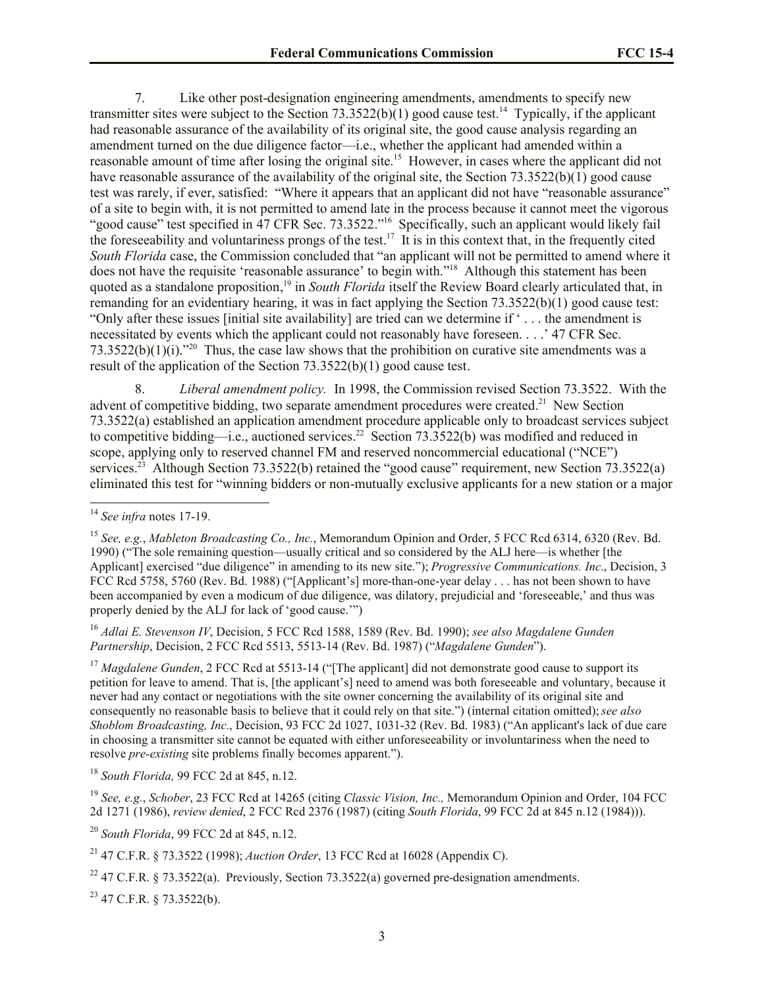7. Like other post-designation engineering amendments, amendments to specify new transmitter sites were subject to the Section  $73.3522(b)(1)$  good cause test.<sup>14</sup> Typically, if the applicant had reasonable assurance of the availability of its original site, the good cause analysis regarding an amendment turned on the due diligence factor—i.e., whether the applicant had amended within a reasonable amount of time after losing the original site.<sup>15</sup> However, in cases where the applicant did not have reasonable assurance of the availability of the original site, the Section 73.3522(b)(1) good cause test was rarely, if ever, satisfied: "Where it appears that an applicant did not have "reasonable assurance" of a site to begin with, it is not permitted to amend late in the process because it cannot meet the vigorous "good cause" test specified in 47 CFR Sec. 73.3522."<sup>16</sup> Specifically, such an applicant would likely fail the foreseeability and voluntariness prongs of the test.<sup>17</sup> It is in this context that, in the frequently cited *South Florida* case, the Commission concluded that "an applicant will not be permitted to amend where it does not have the requisite 'reasonable assurance' to begin with."<sup>18</sup> Although this statement has been quoted as a standalone proposition, <sup>19</sup> in *South Florida* itself the Review Board clearly articulated that, in remanding for an evidentiary hearing, it was in fact applying the Section 73.3522(b)(1) good cause test: "Only after these issues [initial site availability] are tried can we determine if ' . . . the amendment is necessitated by events which the applicant could not reasonably have foreseen. . . .' 47 CFR Sec. 73.3522(b)(1)(i)."<sup>20</sup> Thus, the case law shows that the prohibition on curative site amendments was a result of the application of the Section 73.3522(b)(1) good cause test.

8. *Liberal amendment policy.* In 1998, the Commission revised Section 73.3522. With the advent of competitive bidding, two separate amendment procedures were created.<sup>21</sup> New Section 73.3522(a) established an application amendment procedure applicable only to broadcast services subject to competitive bidding—i.e., auctioned services.<sup>22</sup> Section 73.3522(b) was modified and reduced in scope, applying only to reserved channel FM and reserved noncommercial educational ("NCE") services.<sup>23</sup> Although Section 73.3522(b) retained the "good cause" requirement, new Section 73.3522(a) eliminated this test for "winning bidders or non-mutually exclusive applicants for a new station or a major

 $\overline{a}$ 

<sup>16</sup> *Adlai E. Stevenson IV*, Decision, 5 FCC Rcd 1588, 1589 (Rev. Bd. 1990); *see also Magdalene Gunden Partnership*, Decision, 2 FCC Rcd 5513, 5513-14 (Rev. Bd. 1987) ("*Magdalene Gunden*").

<sup>17</sup> *Magdalene Gunden*, 2 FCC Rcd at 5513-14 ("[The applicant] did not demonstrate good cause to support its petition for leave to amend. That is, [the applicant's] need to amend was both foreseeable and voluntary, because it never had any contact or negotiations with the site owner concerning the availability of its original site and consequently no reasonable basis to believe that it could rely on that site.") (internal citation omitted); *see also Shoblom Broadcasting, Inc.*, Decision, 93 FCC 2d 1027, 1031-32 (Rev. Bd. 1983) ("An applicant's lack of due care in choosing a transmitter site cannot be equated with either unforeseeability or involuntariness when the need to resolve *pre-existing* site problems finally becomes apparent.").

<sup>18</sup> *South Florida,* 99 FCC 2d at 845, n.12.

<sup>19</sup> *See, e.g.*, *Schober*, 23 FCC Rcd at 14265 (citing *Classic Vision, Inc.,* Memorandum Opinion and Order, 104 FCC 2d 1271 (1986), *review denied*, 2 FCC Rcd 2376 (1987) (citing *South Florida*, 99 FCC 2d at 845 n.12 (1984))).

<sup>20</sup> *South Florida*, 99 FCC 2d at 845, n.12.

<sup>23</sup> 47 C.F.R. § 73.3522(b).

<sup>14</sup> *See infra* notes 17-19.

<sup>15</sup> *See, e.g.*, *Mableton Broadcasting Co., Inc.*, Memorandum Opinion and Order, 5 FCC Rcd 6314, 6320 (Rev. Bd. 1990) ("The sole remaining question—usually critical and so considered by the ALJ here—is whether [the Applicant] exercised "due diligence" in amending to its new site."); *Progressive Communications. Inc.*, Decision, 3 FCC Rcd 5758, 5760 (Rev. Bd. 1988) ("[Applicant's] more-than-one-year delay . . . has not been shown to have been accompanied by even a modicum of due diligence, was dilatory, prejudicial and 'foreseeable,' and thus was properly denied by the ALJ for lack of 'good cause.'")

<sup>21</sup> 47 C.F.R. § 73.3522 (1998); *Auction Order*, 13 FCC Rcd at 16028 (Appendix C).

<sup>&</sup>lt;sup>22</sup> 47 C.F.R. § 73.3522(a). Previously, Section 73.3522(a) governed pre-designation amendments.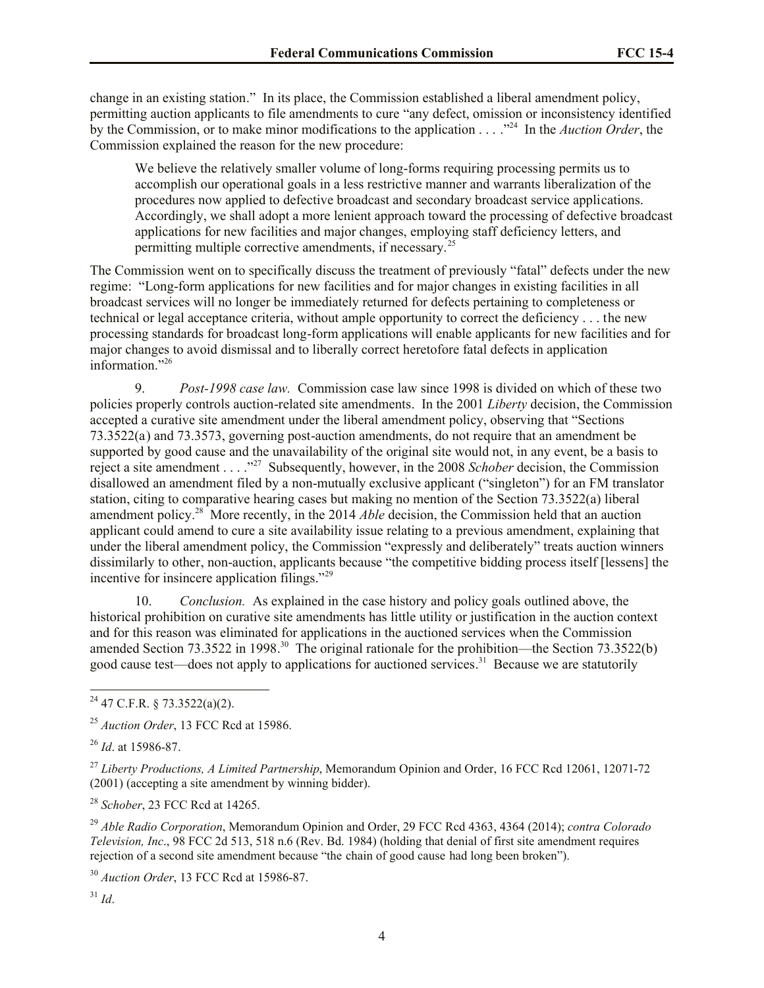change in an existing station." In its place, the Commission established a liberal amendment policy, permitting auction applicants to file amendments to cure "any defect, omission or inconsistency identified by the Commission, or to make minor modifications to the application . . . .<sup>224</sup> In the *Auction Order*, the Commission explained the reason for the new procedure:

We believe the relatively smaller volume of long-forms requiring processing permits us to accomplish our operational goals in a less restrictive manner and warrants liberalization of the procedures now applied to defective broadcast and secondary broadcast service applications. Accordingly, we shall adopt a more lenient approach toward the processing of defective broadcast applications for new facilities and major changes, employing staff deficiency letters, and permitting multiple corrective amendments, if necessary.<sup>25</sup>

The Commission went on to specifically discuss the treatment of previously "fatal" defects under the new regime: "Long-form applications for new facilities and for major changes in existing facilities in all broadcast services will no longer be immediately returned for defects pertaining to completeness or technical or legal acceptance criteria, without ample opportunity to correct the deficiency . . . the new processing standards for broadcast long-form applications will enable applicants for new facilities and for major changes to avoid dismissal and to liberally correct heretofore fatal defects in application information."<sup>26</sup>

9. *Post-1998 case law.* Commission case law since 1998 is divided on which of these two policies properly controls auction-related site amendments. In the 2001 *Liberty* decision, the Commission accepted a curative site amendment under the liberal amendment policy, observing that "Sections 73.3522(a) and 73.3573, governing post-auction amendments, do not require that an amendment be supported by good cause and the unavailability of the original site would not, in any event, be a basis to reject a site amendment . . . ."<sup>27</sup> Subsequently, however, in the 2008 *Schober* decision, the Commission disallowed an amendment filed by a non-mutually exclusive applicant ("singleton") for an FM translator station, citing to comparative hearing cases but making no mention of the Section 73.3522(a) liberal amendment policy. 28 More recently, in the 2014 *Able* decision, the Commission held that an auction applicant could amend to cure a site availability issue relating to a previous amendment, explaining that under the liberal amendment policy, the Commission "expressly and deliberately" treats auction winners dissimilarly to other, non-auction, applicants because "the competitive bidding process itself [lessens] the incentive for insincere application filings."<sup>29</sup>

10. *Conclusion.* As explained in the case history and policy goals outlined above, the historical prohibition on curative site amendments has little utility or justification in the auction context and for this reason was eliminated for applications in the auctioned services when the Commission amended Section 73.3522 in 1998.<sup>30</sup> The original rationale for the prohibition—the Section 73.3522(b) good cause test—does not apply to applications for auctioned services.<sup>31</sup> Because we are statutorily

<sup>28</sup> *Schober*, 23 FCC Rcd at 14265.

<sup>29</sup> *Able Radio Corporation*, Memorandum Opinion and Order, 29 FCC Rcd 4363, 4364 (2014); *contra Colorado Television, Inc*., 98 FCC 2d 513, 518 n.6 (Rev. Bd. 1984) (holding that denial of first site amendment requires rejection of a second site amendment because "the chain of good cause had long been broken").

<sup>30</sup> *Auction Order*, 13 FCC Rcd at 15986-87.

 $31$  *Id.* 

 $\overline{a}$ 

 $^{24}$  47 C.F.R. § 73.3522(a)(2).

<sup>25</sup> *Auction Order*, 13 FCC Rcd at 15986.

<sup>26</sup> *Id*. at 15986-87.

<sup>27</sup> *Liberty Productions, A Limited Partnership*, Memorandum Opinion and Order, 16 FCC Rcd 12061, 12071-72 (2001) (accepting a site amendment by winning bidder).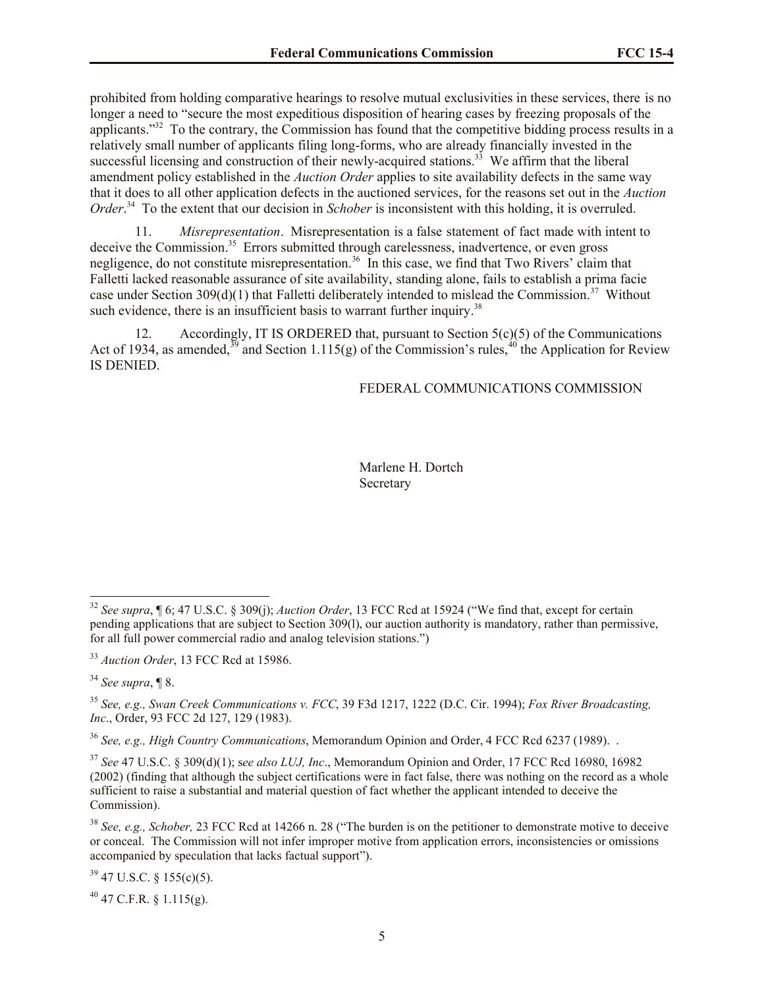prohibited from holding comparative hearings to resolve mutual exclusivities in these services, there is no longer a need to "secure the most expeditious disposition of hearing cases by freezing proposals of the applicants."<sup>32</sup> To the contrary, the Commission has found that the competitive bidding process results in a relatively small number of applicants filing long-forms, who are already financially invested in the successful licensing and construction of their newly-acquired stations.<sup>33</sup> We affirm that the liberal amendment policy established in the *Auction Order* applies to site availability defects in the same way that it does to all other application defects in the auctioned services, for the reasons set out in the *Auction Order*<sup>34</sup> To the extent that our decision in *Schober* is inconsistent with this holding, it is overruled.

11. *Misrepresentation*.Misrepresentation is a false statement of fact made with intent to deceive the Commission.<sup>35</sup> Errors submitted through carelessness, inadvertence, or even gross negligence, do not constitute misrepresentation.<sup>36</sup> In this case, we find that Two Rivers' claim that Falletti lacked reasonable assurance of site availability, standing alone, fails to establish a prima facie case under Section  $309(d)(1)$  that Falletti deliberately intended to mislead the Commission.<sup>37</sup> Without such evidence, there is an insufficient basis to warrant further inquiry.<sup>38</sup>

12. Accordingly, IT IS ORDERED that, pursuant to Section 5(c)(5) of the Communications Act of 1934, as amended,  $39$  and Section 1.115(g) of the Commission's rules,  $40$  the Application for Review IS DENIED.

FEDERAL COMMUNICATIONS COMMISSION

Marlene H. Dortch **Secretary** 

 $\overline{a}$ 

<sup>36</sup> *See, e.g., High Country Communications*, Memorandum Opinion and Order, 4 FCC Rcd 6237 (1989). .

 $39$  47 U.S.C. § 155(c)(5).

 $40$  47 C.F.R. § 1.115(g).

<sup>32</sup> *See supra*, ¶ 6; 47 U.S.C. § 309(j); *Auction Order*, 13 FCC Rcd at 15924 ("We find that, except for certain pending applications that are subject to Section 309(l), our auction authority is mandatory, rather than permissive, for all full power commercial radio and analog television stations.")

<sup>33</sup> *Auction Order*, 13 FCC Rcd at 15986.

<sup>34</sup> *See supra*, ¶ 8.

<sup>35</sup> *See, e.g., Swan Creek Communications v. FCC*, 39 F3d 1217, 1222 (D.C. Cir. 1994); *Fox River Broadcasting, Inc*., Order, 93 FCC 2d 127, 129 (1983).

<sup>37</sup> *See* 47 U.S.C. § 309(d)(1); s*ee also LUJ, Inc*., Memorandum Opinion and Order, 17 FCC Rcd 16980, 16982 (2002) (finding that although the subject certifications were in fact false, there was nothing on the record as a whole sufficient to raise a substantial and material question of fact whether the applicant intended to deceive the Commission).

<sup>38</sup> *See, e.g., Schober,* 23 FCC Rcd at 14266 n. 28 ("The burden is on the petitioner to demonstrate motive to deceive or conceal. The Commission will not infer improper motive from application errors, inconsistencies or omissions accompanied by speculation that lacks factual support").